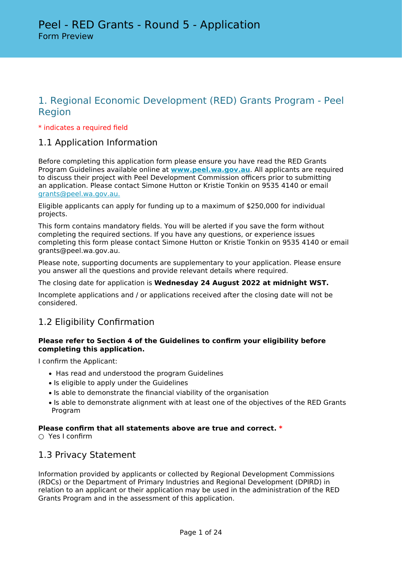# 1. Regional Economic Development (RED) Grants Program - Peel Region

## \* indicates a required field

# 1.1 Application Information

Before completing this application form please ensure you have read the RED Grants Program Guidelines available online at **[www.peel.wa.gov.au](http://www.peel.wa.gov.au)**. All applicants are required to discuss their project with Peel Development Commission officers prior to submitting an application. Please contact Simone Hutton or Kristie Tonkin on 9535 4140 or email [grants@peel.wa.gov.au.](mailto:grants@peel.wa.gov.au)

Eligible applicants can apply for funding up to a maximum of \$250,000 for individual projects.

This form contains mandatory fields. You will be alerted if you save the form without completing the required sections. If you have any questions, or experience issues completing this form please contact Simone Hutton or Kristie Tonkin on 9535 4140 or email grants@peel.wa.gov.au.

Please note, supporting documents are supplementary to your application. Please ensure you answer all the questions and provide relevant details where required.

### The closing date for application is **Wednesday 24 August 2022 at midnight WST.**

Incomplete applications and / or applications received after the closing date will not be considered.

# 1.2 Eligibility Confirmation

## **Please refer to Section 4 of the Guidelines to confirm your eligibility before completing this application.**

I confirm the Applicant:

- Has read and understood the program Guidelines
- Is eligible to apply under the Guidelines
- Is able to demonstrate the financial viability of the organisation
- Is able to demonstrate alignment with at least one of the objectives of the RED Grants Program

## **Please confirm that all statements above are true and correct. \***

○ Yes I confirm

## 1.3 Privacy Statement

Information provided by applicants or collected by Regional Development Commissions (RDCs) or the Department of Primary Industries and Regional Development (DPIRD) in relation to an applicant or their application may be used in the administration of the RED Grants Program and in the assessment of this application.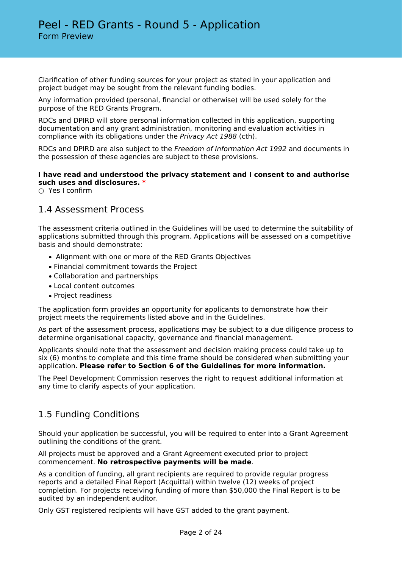Clarification of other funding sources for your project as stated in your application and project budget may be sought from the relevant funding bodies.

Any information provided (personal, financial or otherwise) will be used solely for the purpose of the RED Grants Program.

RDCs and DPIRD will store personal information collected in this application, supporting documentation and any grant administration, monitoring and evaluation activities in compliance with its obligations under the *Privacy Act 1988* (cth).

RDCs and DPIRD are also subject to the *Freedom of Information Act 1992* and documents in the possession of these agencies are subject to these provisions.

## **I have read and understood the privacy statement and I consent to and authorise such uses and disclosures. \***

 $\bigcirc$  Yes I confirm

## 1.4 Assessment Process

The assessment criteria outlined in the Guidelines will be used to determine the suitability of applications submitted through this program. Applications will be assessed on a competitive basis and should demonstrate:

- Alignment with one or more of the RED Grants Objectives
- Financial commitment towards the Project
- Collaboration and partnerships
- Local content outcomes
- Project readiness

The application form provides an opportunity for applicants to demonstrate how their project meets the requirements listed above and in the Guidelines.

As part of the assessment process, applications may be subject to a due diligence process to determine organisational capacity, governance and financial management.

Applicants should note that the assessment and decision making process could take up to six (6) months to complete and this time frame should be considered when submitting your application. **Please refer to Section 6 of the Guidelines for more information.**

The Peel Development Commission reserves the right to request additional information at any time to clarify aspects of your application.

# 1.5 Funding Conditions

Should your application be successful, you will be required to enter into a Grant Agreement outlining the conditions of the grant.

All projects must be approved and a Grant Agreement executed prior to project commencement. **No retrospective payments will be made**.

As a condition of funding, all grant recipients are required to provide regular progress reports and a detailed Final Report (Acquittal) within twelve (12) weeks of project completion. For projects receiving funding of more than \$50,000 the Final Report is to be audited by an independent auditor.

Only GST registered recipients will have GST added to the grant payment.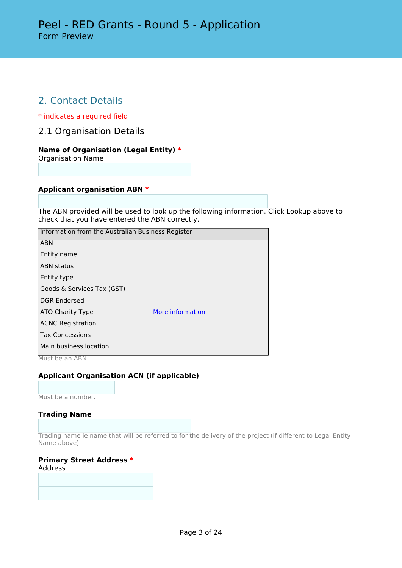# 2. Contact Details

\* indicates a required field

2.1 Organisation Details

## **Name of Organisation (Legal Entity) \***

Organisation Name

## **Applicant organisation ABN \***

The ABN provided will be used to look up the following information. Click Lookup above to check that you have entered the ABN correctly.

| Information from the Australian Business Register |                  |  |  |  |
|---------------------------------------------------|------------------|--|--|--|
| <b>ABN</b>                                        |                  |  |  |  |
| Entity name                                       |                  |  |  |  |
| <b>ABN status</b>                                 |                  |  |  |  |
| Entity type                                       |                  |  |  |  |
| Goods & Services Tax (GST)                        |                  |  |  |  |
| <b>DGR Endorsed</b>                               |                  |  |  |  |
| ATO Charity Type                                  | More information |  |  |  |
| <b>ACNC Registration</b>                          |                  |  |  |  |
| <b>Tax Concessions</b>                            |                  |  |  |  |
| Main business location                            |                  |  |  |  |

Must be an ABN.

## **Applicant Organisation ACN (if applicable)**

Must be a number.

#### **Trading Name**

Trading name ie name that will be referred to for the delivery of the project (if different to Legal Entity Name above)

#### **Primary Street Address \*** Address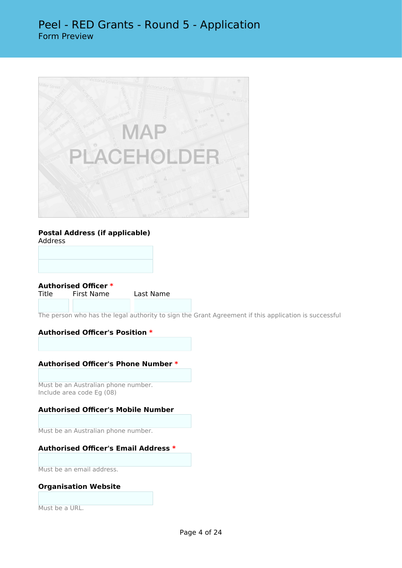

#### **Postal Address (if applicable)** Address

**Authorised Officer \***

First Name Last Name

The person who has the legal authority to sign the Grant Agreement if this application is successful

## **Authorised Officer's Position \***

#### **Authorised Officer's Phone Number \***

Must be an Australian phone number. Include area code Eg (08)

## **Authorised Officer's Mobile Number**

Must be an Australian phone number.

## **Authorised Officer's Email Address \***

Must be an email address.

## **Organisation Website**

Must be a URL.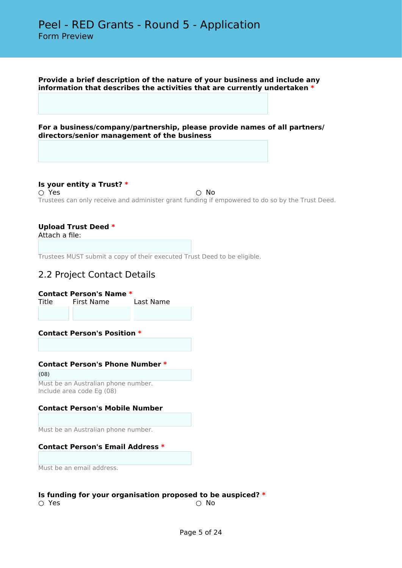**Provide a brief description of the nature of your business and include any information that describes the activities that are currently undertaken \***

**For a business/company/partnership, please provide names of all partners/ directors/senior management of the business**

**Is your entity a Trust? \***  $\bigcirc$  Yes  $\bigcirc$  No Trustees can only receive and administer grant funding if empowered to do so by the Trust Deed.

## **Upload Trust Deed \***

Attach a file:

Trustees MUST submit a copy of their executed Trust Deed to be eligible.

## 2.2 Project Contact Details

#### **Contact Person's Name \***

Title First Name Last Name

#### **Contact Person's Position \***

#### **Contact Person's Phone Number \***

(08) Must be an Australian phone number. Include area code Eg (08)

## **Contact Person's Mobile Number**

Must be an Australian phone number.

#### **Contact Person's Email Address \***

Must be an email address.

#### **Is funding for your organisation proposed to be auspiced? \***

 $\bigcirc$  Yes  $\bigcirc$  No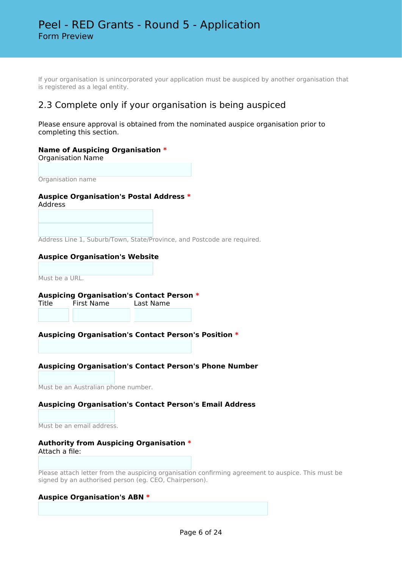If your organisation is unincorporated your application must be auspiced by another organisation that is registered as a legal entity.

# 2.3 Complete only if your organisation is being auspiced

Please ensure approval is obtained from the nominated auspice organisation prior to completing this section.

## **Name of Auspicing Organisation \***

Organisation Name

Organisation name

# **Auspice Organisation's Postal Address \***

Address

Address Line 1, Suburb/Town, State/Province, and Postcode are required.

## **Auspice Organisation's Website**

Must be a URL.

# **Auspicing Organisation's Contact Person \***

Title First Name

## **Auspicing Organisation's Contact Person's Position \***

## **Auspicing Organisation's Contact Person's Phone Number**

Must be an Australian phone number.

## **Auspicing Organisation's Contact Person's Email Address**

Must be an email address.

#### **Authority from Auspicing Organisation \*** Attach a file:

Please attach letter from the auspicing organisation confirming agreement to auspice. This must be signed by an authorised person (eg. CEO, Chairperson).

#### **Auspice Organisation's ABN \***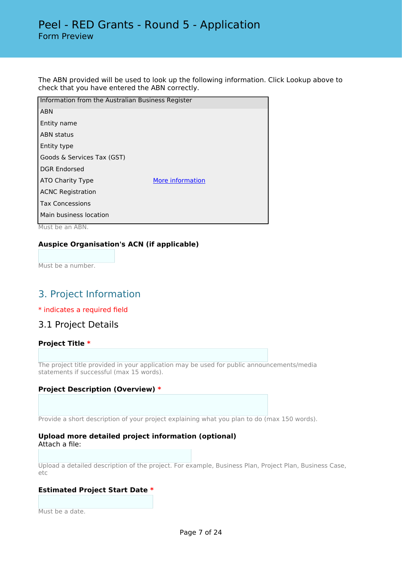The ABN provided will be used to look up the following information. Click Lookup above to check that you have entered the ABN correctly.

| Information from the Australian Business Register |                  |
|---------------------------------------------------|------------------|
| <b>ABN</b>                                        |                  |
| Entity name                                       |                  |
| ABN status                                        |                  |
| Entity type                                       |                  |
| Goods & Services Tax (GST)                        |                  |
| <b>DGR Endorsed</b>                               |                  |
| ATO Charity Type                                  | More information |
| <b>ACNC Registration</b>                          |                  |
| <b>Tax Concessions</b>                            |                  |
| Main business location                            |                  |

Must be an ABN.

## **Auspice Organisation's ACN (if applicable)**

Must be a number.

# 3. Project Information

\* indicates a required field

## 3.1 Project Details

## **Project Title \***

The project title provided in your application may be used for public announcements/media statements if successful (max 15 words).

#### **Project Description (Overview) \***

Provide a short description of your project explaining what you plan to do (max 150 words).

#### **Upload more detailed project information (optional)** Attach a file:

Upload a detailed description of the project. For example, Business Plan, Project Plan, Business Case, etc

#### **Estimated Project Start Date \***

Must be a date.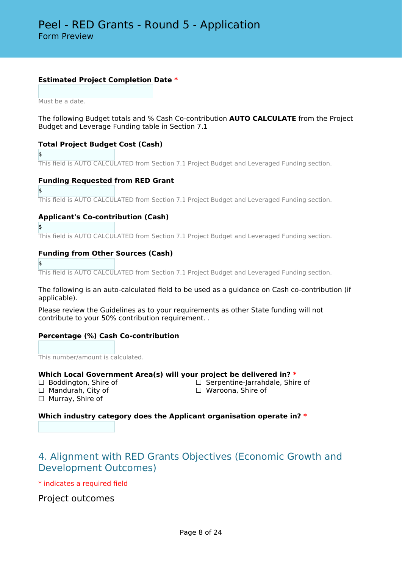## **Estimated Project Completion Date \***

Must be a date.

The following Budget totals and % Cash Co-contribution **AUTO CALCULATE** from the Project Budget and Leverage Funding table in Section 7.1

## **Total Project Budget Cost (Cash)**

\$ This field is AUTO CALCULATED from Section 7.1 Project Budget and Leveraged Funding section.

## **Funding Requested from RED Grant**

\$

This field is AUTO CALCULATED from Section 7.1 Project Budget and Leveraged Funding section.

## **Applicant's Co-contribution (Cash)**

This field is AUTO CALCULATED from Section 7.1 Project Budget and Leveraged Funding section.

## **Funding from Other Sources (Cash)**

\$

\$

This field is AUTO CALCULATED from Section 7.1 Project Budget and Leveraged Funding section.

The following is an auto-calculated field to be used as a guidance on Cash co-contribution (if applicable).

Please review the Guidelines as to your requirements as other State funding will not contribute to your 50% contribution requirement. .

## **Percentage (%) Cash Co-contribution**

This number/amount is calculated.

#### **Which Local Government Area(s) will your project be delivered in? \***

- 
- □ Mandurah, City of

□ Boddington, Shire of □ □ Serpentine-Jarrahdale, Shire of □ Serpentine-Shire of □ Nandurah. City of

□ Murray, Shire of

**Which industry category does the Applicant organisation operate in? \***

# 4. Alignment with RED Grants Objectives (Economic Growth and Development Outcomes)

\* indicates a required field

Project outcomes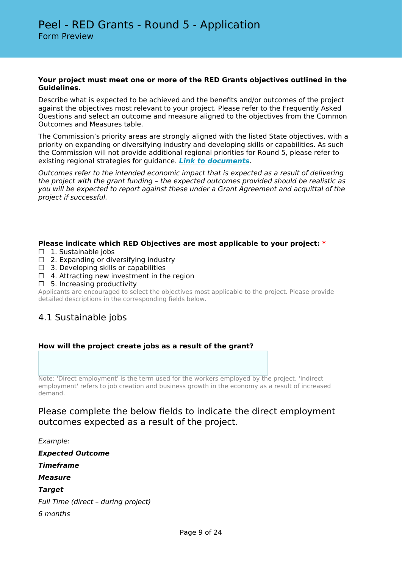#### **Your project must meet one or more of the RED Grants objectives outlined in the Guidelines.**

Describe what is expected to be achieved and the benefits and/or outcomes of the project against the objectives most relevant to your project. Please refer to the Frequently Asked Questions and select an outcome and measure aligned to the objectives from the Common Outcomes and Measures table.

The Commission's priority areas are strongly aligned with the listed State objectives, with a priority on expanding or diversifying industry and developing skills or capabilities. As such the Commission will not provide additional regional priorities for Round 5, please refer to existing regional strategies for guidance. *[Link to documents](https://www.peel.wa.gov.au/the-commission/peel-dc-publications/)*.

*Outcomes refer to the intended economic impact that is expected as a result of delivering the project with the grant funding – the expected outcomes provided should be realistic as you will be expected to report against these under a Grant Agreement and acquittal of the project if successful.*

## **Please indicate which RED Objectives are most applicable to your project: \***

- □ 1. Sustainable jobs
- $\Box$  2. Expanding or diversifying industry
- $\Box$  3. Developing skills or capabilities
- ☐ 4. Attracting new investment in the region
- □ 5. Increasing productivity

Applicants are encouraged to select the objectives most applicable to the project. Please provide detailed descriptions in the corresponding fields below.

# 4.1 Sustainable jobs

## **How will the project create jobs as a result of the grant?**

Note: 'Direct employment' is the term used for the workers employed by the project. 'Indirect employment' refers to job creation and business growth in the economy as a result of increased demand.

## Please complete the below fields to indicate the direct employment outcomes expected as a result of the project.

*Example: Expected Outcome Timeframe Measure Target Full Time (direct – during project) 6 months*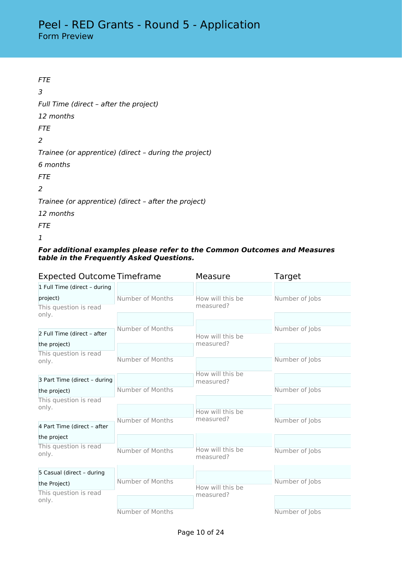| <i>FTF</i>                                            |
|-------------------------------------------------------|
| 3                                                     |
| Full Time (direct - after the project)                |
| 12 months                                             |
| <b>FTF</b>                                            |
| 2                                                     |
| Trainee (or apprentice) (direct - during the project) |
| 6 months                                              |
| <i>FTF</i>                                            |
| 2                                                     |
| Trainee (or apprentice) (direct - after the project)  |
| 12 months                                             |
| FTE                                                   |

*1*

## *For additional examples please refer to the Common Outcomes and Measures table in the Frequently Asked Questions.*

| <b>Expected Outcome Timeframe</b> |                  | Measure                       | Target         |  |
|-----------------------------------|------------------|-------------------------------|----------------|--|
| 1 Full Time (direct - during      |                  |                               |                |  |
| project)                          | Number of Months | How will this be              | Number of Jobs |  |
| This question is read             |                  | measured?                     |                |  |
| only.                             |                  |                               |                |  |
| 2 Full Time (direct - after       | Number of Months |                               | Number of Jobs |  |
| the project)                      |                  | How will this be<br>measured? |                |  |
|                                   |                  |                               |                |  |
| This question is read<br>only.    | Number of Months |                               | Number of Jobs |  |
|                                   |                  |                               |                |  |
| 3 Part Time (direct - during      |                  | How will this be              |                |  |
|                                   | Number of Months | measured?                     |                |  |
| the project)                      |                  |                               | Number of Jobs |  |
| This question is read             |                  |                               |                |  |
| only.                             |                  | How will this be              |                |  |
|                                   | Number of Months | measured?                     | Number of Jobs |  |
| 4 Part Time (direct - after       |                  |                               |                |  |
| the project                       |                  |                               |                |  |
| This question is read             | Number of Months | How will this be              | Number of Jobs |  |
| only.                             |                  | measured?                     |                |  |
|                                   |                  |                               |                |  |
| 5 Casual (direct - during         |                  |                               |                |  |
| the Project)                      | Number of Months | How will this be              | Number of Jobs |  |
| This question is read             |                  | measured?                     |                |  |
| only.                             |                  |                               |                |  |
|                                   | Number of Months |                               | Number of Jobs |  |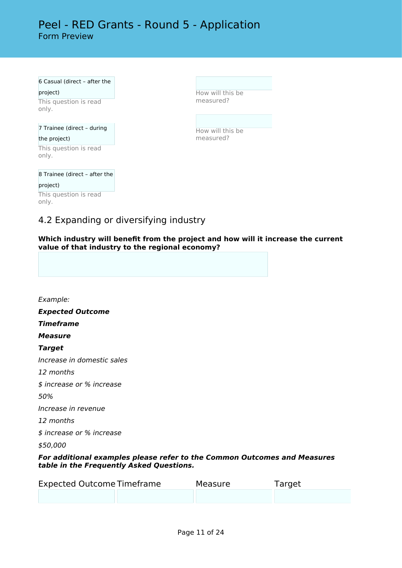# Peel - RED Grants - Round 5 - Application Form Preview

6 Casual (direct – after the

project) This question is read only.

### 7 Trainee (direct – during the project)

This question is read only.

8 Trainee (direct – after the project) This question is read only.

How will this be measured?

How will this be measured?

# 4.2 Expanding or diversifying industry

**Which industry will benefit from the project and how will it increase the current value of that industry to the regional economy?**

*Example: Expected Outcome Timeframe Measure Target Increase in domestic sales 12 months \$ increase or % increase 50% Increase in revenue 12 months \$ increase or % increase \$50,000 For additional examples please refer to the Common Outcomes and Measures table in the Frequently Asked Questions.*

| <b>Expected Outcome Timeframe</b> | Measure | Target |
|-----------------------------------|---------|--------|
|                                   |         |        |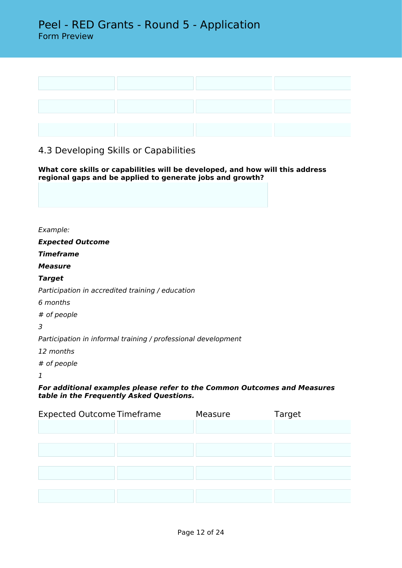

# 4.3 Developing Skills or Capabilities

**What core skills or capabilities will be developed, and how will this address regional gaps and be applied to generate jobs and growth?**

*Example:*

*Expected Outcome*

*Timeframe*

*Measure*

## *Target*

*Participation in accredited training / education*

*6 months*

*# of people*

*3*

*Participation in informal training / professional development*

*12 months*

*# of people*

*1*

*For additional examples please refer to the Common Outcomes and Measures table in the Frequently Asked Questions.*

| <b>Expected Outcome Timeframe</b> | Measure | Target |
|-----------------------------------|---------|--------|
|                                   |         |        |
|                                   |         |        |
|                                   |         |        |
|                                   |         |        |
|                                   |         |        |
|                                   |         |        |
|                                   |         |        |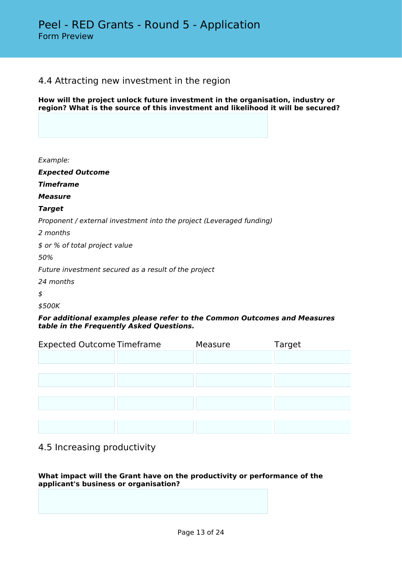## 4.4 Attracting new investment in the region

**How will the project unlock future investment in the organisation, industry or region? What is the source of this investment and likelihood it will be secured?**

*Example:*

*Expected Outcome*

*Timeframe*

*Measure*

## *Target*

*Proponent / external investment into the project (Leveraged funding)*

*2 months*

*\$ or % of total project value*

*50%*

*Future investment secured as a result of the project*

*24 months*

*\$*

*\$500K*

## *For additional examples please refer to the Common Outcomes and Measures table in the Frequently Asked Questions.*

| <b>Expected Outcome Timeframe</b> | Measure | Target |
|-----------------------------------|---------|--------|
|                                   |         |        |
|                                   |         |        |
|                                   |         |        |
|                                   |         |        |
|                                   |         |        |
|                                   |         |        |
|                                   |         |        |

# 4.5 Increasing productivity

## **What impact will the Grant have on the productivity or performance of the applicant's business or organisation?**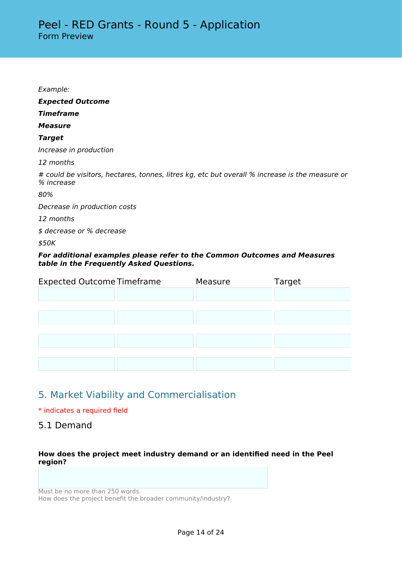| Example:                                                                                                     |
|--------------------------------------------------------------------------------------------------------------|
| <b>Expected Outcome</b>                                                                                      |
| <b>Timeframe</b>                                                                                             |
| <b>Measure</b>                                                                                               |
| <b>Target</b>                                                                                                |
| Increase in production                                                                                       |
| 12 months                                                                                                    |
| # could be visitors, hectares, tonnes, litres kg, etc but overall % increase is the measure or<br>% increase |
| 80%                                                                                                          |
| Decrease in production costs                                                                                 |
| 12 months                                                                                                    |
| \$ decrease or % decrease                                                                                    |
| \$50K                                                                                                        |
|                                                                                                              |

## *For additional examples please refer to the Common Outcomes and Measures table in the Frequently Asked Questions.*

| <b>Expected Outcome Timeframe</b> | Measure | Target |
|-----------------------------------|---------|--------|
|                                   |         |        |
|                                   |         |        |
|                                   |         |        |
|                                   |         |        |
|                                   |         |        |
|                                   |         |        |
|                                   |         |        |

# 5. Market Viability and Commercialisation

## \* indicates a required field

# 5.1 Demand

## **How does the project meet industry demand or an identified need in the Peel region?**

Must be no more than 250 words. How does the project benefit the broader community/industry?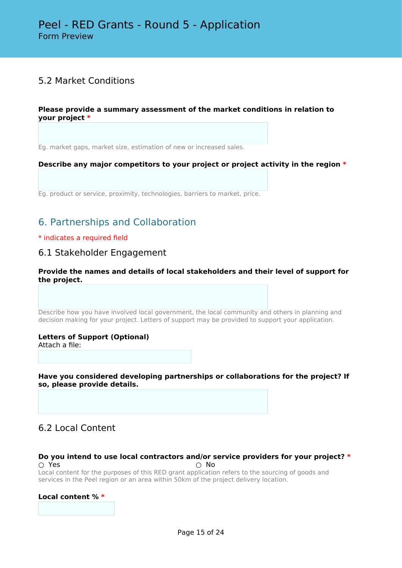# 5.2 Market Conditions

## **Please provide a summary assessment of the market conditions in relation to your project \***

Eg. market gaps, market size, estimation of new or increased sales.

## **Describe any major competitors to your project or project activity in the region \***

Eg. product or service, proximity, technologies, barriers to market, price.

# 6. Partnerships and Collaboration

## \* indicates a required field

## 6.1 Stakeholder Engagement

**Provide the names and details of local stakeholders and their level of support for the project.**

Describe how you have involved local government, the local community and others in planning and decision making for your project. Letters of support may be provided to support your application.

#### **Letters of Support (Optional)** Attach a file:

**Have you considered developing partnerships or collaborations for the project? If so, please provide details.**

# 6.2 Local Content

## **Do you intend to use local contractors and/or service providers for your project? \***  $\cap$  Yes  $\cap$  No

Local content for the purposes of this RED grant application refers to the sourcing of goods and services in the Peel region or an area within 50km of the project delivery location.

#### **Local content % \***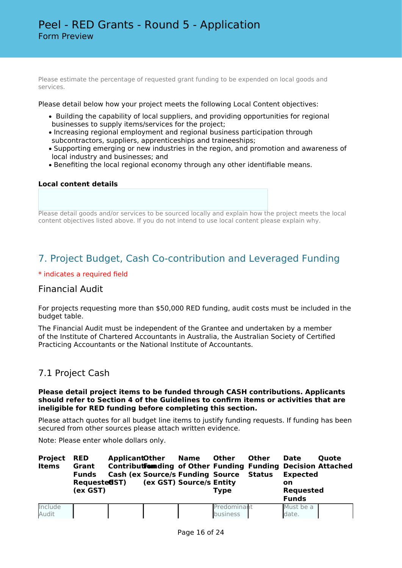Please estimate the percentage of requested grant funding to be expended on local goods and services.

Please detail below how your project meets the following Local Content objectives:

- Building the capability of local suppliers, and providing opportunities for regional businesses to supply items/services for the project;
- Increasing regional employment and regional business participation through subcontractors, suppliers, apprenticeships and traineeships;
- Supporting emerging or new industries in the region, and promotion and awareness of local industry and businesses; and
- Benefiting the local regional economy through any other identifiable means.

#### **Local content details**

Please detail goods and/or services to be sourced locally and explain how the project meets the local content objectives listed above. If you do not intend to use local content please explain why.

# 7. Project Budget, Cash Co-contribution and Leveraged Funding

#### \* indicates a required field

## Financial Audit

For projects requesting more than \$50,000 RED funding, audit costs must be included in the budget table.

The Financial Audit must be independent of the Grantee and undertaken by a member of the Institute of Chartered Accountants in Australia, the Australian Society of Certified Practicing Accountants or the National Institute of Accountants.

## 7.1 Project Cash

#### **Please detail project items to be funded through CASH contributions. Applicants should refer to Section 4 of the Guidelines to confirm items or activities that are ineligible for RED funding before completing this section.**

Please attach quotes for all budget line items to justify funding requests. If funding has been secured from other sources please attach written evidence.

Note: Please enter whole dollars only.

| <b>Project</b><br><b>Items</b> | <b>RED</b><br>Grant<br><b>Funds</b><br>Requested ST)<br>(ex GST) | <b>ApplicantOther</b><br><b>Cash (ex Source/s Funding Source Status</b> | Name<br>(ex GST) Source/s Entity | Other<br><b>Type</b> | <b>Other</b> | <b>Date</b><br><b>Expected</b><br>on.<br><b>Requested</b><br><b>Funds</b> | <b>Ouote</b><br>Contributformding of Other Funding Funding Decision Attached |
|--------------------------------|------------------------------------------------------------------|-------------------------------------------------------------------------|----------------------------------|----------------------|--------------|---------------------------------------------------------------------------|------------------------------------------------------------------------------|
| Include                        |                                                                  |                                                                         |                                  | Predominant          |              | Must be a                                                                 |                                                                              |
| Audit                          |                                                                  |                                                                         |                                  | business             |              | date.                                                                     |                                                                              |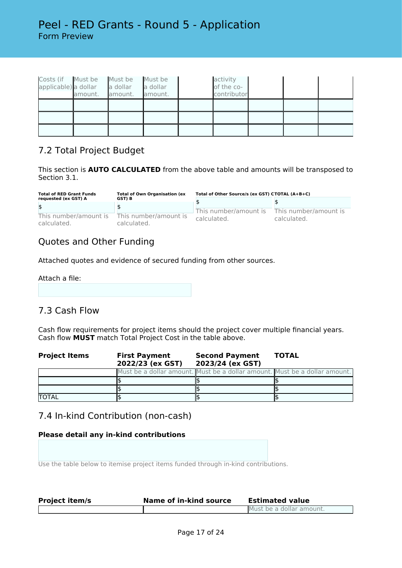| Costs (if Must be<br>applicable) a dollar | amount. | Must be<br>a dollar<br>amount. | Must be<br>a dollar<br>amount. | activity<br>of the co-<br>contributor |  |  |
|-------------------------------------------|---------|--------------------------------|--------------------------------|---------------------------------------|--|--|
|                                           |         |                                |                                |                                       |  |  |
|                                           |         |                                |                                |                                       |  |  |
|                                           |         |                                |                                |                                       |  |  |

# 7.2 Total Project Budget

This section is **AUTO CALCULATED** from the above table and amounts will be transposed to Section 3.1.

| <b>Total of RED Grant Funds</b>      | <b>Total of Own Organisation (ex</b> | Total of Other Source/s (ex GST) CTOTAL (A+B+C) |                                      |  |
|--------------------------------------|--------------------------------------|-------------------------------------------------|--------------------------------------|--|
| requested (ex GST) A                 | GST) B                               |                                                 |                                      |  |
| \$                                   |                                      |                                                 |                                      |  |
| This number/amount is<br>calculated. | This number/amount is<br>calculated. | This number/amount is<br>calculated.            | This number/amount is<br>calculated. |  |

# Quotes and Other Funding

Attached quotes and evidence of secured funding from other sources.

Attach a file:

# 7.3 Cash Flow

Cash flow requirements for project items should the project cover multiple financial years. Cash flow **MUST** match Total Project Cost in the table above.

| <b>Project Items</b> | <b>First Payment</b><br>2022/23 (ex GST) | <b>Second Payment</b><br>2023/24 (ex GST)                                  | <b>TOTAL</b> |
|----------------------|------------------------------------------|----------------------------------------------------------------------------|--------------|
|                      |                                          | Must be a dollar amount. Must be a dollar amount. Must be a dollar amount. |              |
|                      |                                          |                                                                            |              |
|                      |                                          |                                                                            |              |
| <b>TOTAL</b>         |                                          |                                                                            |              |

# 7.4 In-kind Contribution (non-cash)

## **Please detail any in-kind contributions**

Use the table below to itemise project items funded through in-kind contributions.

| <b>Project item/s</b> | Name of in-kind source | <b>Estimated value</b>   |
|-----------------------|------------------------|--------------------------|
|                       |                        | Must be a dollar amount. |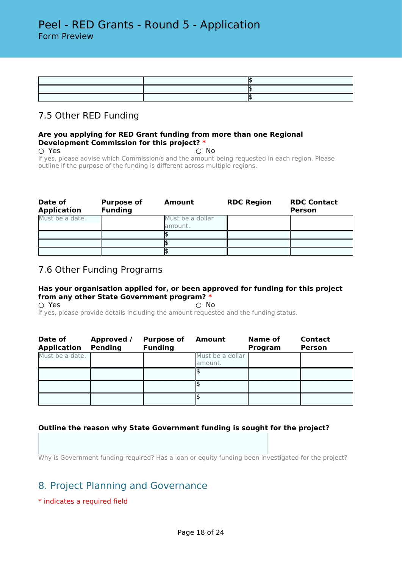## 7.5 Other RED Funding

### **Are you applying for RED Grant funding from more than one Regional Development Commission for this project? \***

 $\bigcirc$  Yes  $\bigcirc$  No If yes, please advise which Commission/s and the amount being requested in each region. Please outline if the purpose of the funding is different across multiple regions.

| Date of<br><b>Application</b> | <b>Purpose of</b><br><b>Funding</b> | Amount                      | <b>RDC Region</b> | <b>RDC Contact</b><br><b>Person</b> |
|-------------------------------|-------------------------------------|-----------------------------|-------------------|-------------------------------------|
| Must be a date.               |                                     | Must be a dollar<br>amount. |                   |                                     |
|                               |                                     |                             |                   |                                     |
|                               |                                     |                             |                   |                                     |
|                               |                                     |                             |                   |                                     |

## 7.6 Other Funding Programs

## **Has your organisation applied for, or been approved for funding for this project from any other State Government program? \***

 $\circlearrowright$  Yes  $\circlearrowright$  No. If yes, please provide details including the amount requested and the funding status.

| Date of<br><b>Application</b> | Approved /<br><b>Pending</b> | <b>Purpose of</b><br><b>Funding</b> | Amount           | Name of<br>Program | <b>Contact</b><br><b>Person</b> |
|-------------------------------|------------------------------|-------------------------------------|------------------|--------------------|---------------------------------|
| Must be a date.               |                              |                                     | Must be a dollar |                    |                                 |
|                               |                              |                                     | lamount.         |                    |                                 |
|                               |                              |                                     |                  |                    |                                 |
|                               |                              |                                     |                  |                    |                                 |
|                               |                              |                                     |                  |                    |                                 |

## **Outline the reason why State Government funding is sought for the project?**

Why is Government funding required? Has a loan or equity funding been investigated for the project?

# 8. Project Planning and Governance

## \* indicates a required field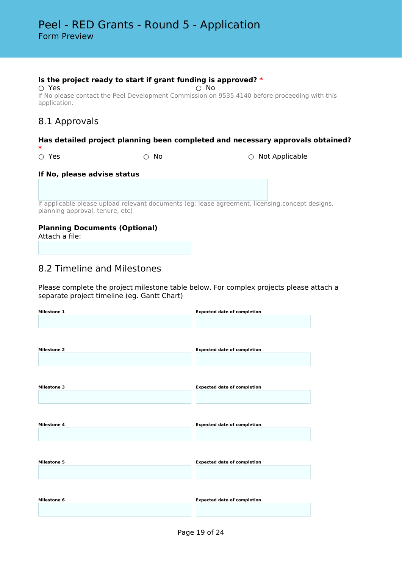## **Is the project ready to start if grant funding is approved? \***

○ Yes ○ No If No please contact the Peel Development Commission on 9535 4140 before proceeding with this application.

# 8.1 Approvals

## **Has detailed project planning been completed and necessary approvals obtained?**

**\***

○ Yes ○ No ○ Not Applicable

## **If No, please advise status**

If applicable please upload relevant documents (eg: lease agreement, licensing,concept designs, planning approval, tenure, etc)

## **Planning Documents (Optional)**

Attach a file:

## 8.2 Timeline and Milestones

Please complete the project milestone table below. For complex projects please attach a separate project timeline (eg. Gantt Chart)

| Milestone 1        | <b>Expected date of completion</b> |
|--------------------|------------------------------------|
|                    |                                    |
|                    |                                    |
|                    |                                    |
|                    |                                    |
| <b>Milestone 2</b> | <b>Expected date of completion</b> |
|                    |                                    |
|                    |                                    |
|                    |                                    |
|                    |                                    |
| <b>Milestone 3</b> | <b>Expected date of completion</b> |
|                    |                                    |
|                    |                                    |
|                    |                                    |
|                    |                                    |
| <b>Milestone 4</b> | <b>Expected date of completion</b> |
|                    |                                    |
|                    |                                    |
|                    |                                    |
|                    |                                    |
| <b>Milestone 5</b> | <b>Expected date of completion</b> |
|                    |                                    |
|                    |                                    |
|                    |                                    |
|                    |                                    |
| <b>Milestone 6</b> | <b>Expected date of completion</b> |
|                    |                                    |
|                    |                                    |
|                    |                                    |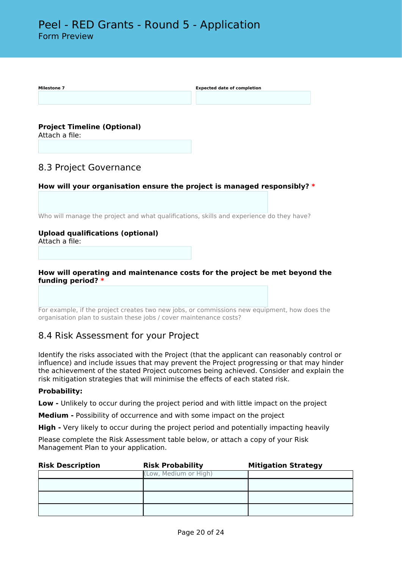

## **How will operating and maintenance costs for the project be met beyond the funding period? \***

For example, if the project creates two new jobs, or commissions new equipment, how does the organisation plan to sustain these jobs / cover maintenance costs?

# 8.4 Risk Assessment for your Project

Identify the risks associated with the Project (that the applicant can reasonably control or influence) and include issues that may prevent the Project progressing or that may hinder the achievement of the stated Project outcomes being achieved. Consider and explain the risk mitigation strategies that will minimise the effects of each stated risk.

## **Probability:**

**Low -** Unlikely to occur during the project period and with little impact on the project

**Medium -** Possibility of occurrence and with some impact on the project

**High -** Very likely to occur during the project period and potentially impacting heavily

Please complete the Risk Assessment table below, or attach a copy of your Risk Management Plan to your application.

| <b>Risk Description</b> | <b>Risk Probability</b> | <b>Mitigation Strategy</b> |
|-------------------------|-------------------------|----------------------------|
|                         | (Low, Medium or High)   |                            |
|                         |                         |                            |
|                         |                         |                            |
|                         |                         |                            |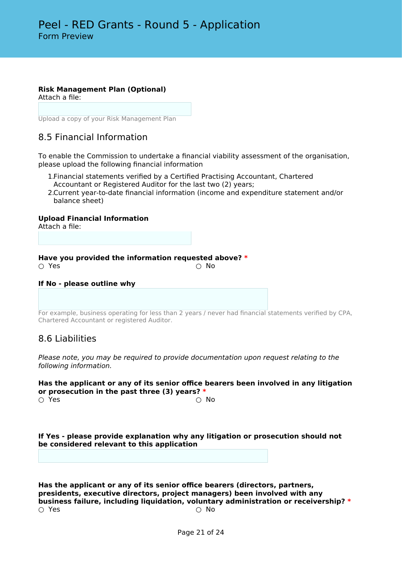# **Risk Management Plan (Optional)**

Attach a file:

Upload a copy of your Risk Management Plan

# 8.5 Financial Information

To enable the Commission to undertake a financial viability assessment of the organisation, please upload the following financial information

- 1.Financial statements verified by a Certified Practising Accountant, Chartered Accountant or Registered Auditor for the last two (2) years;
- 2.Current year-to-date financial information (income and expenditure statement and/or balance sheet)

## **Upload Financial Information**

Attach a file:

**Have you provided the information requested above? \***

 $\bigcirc$  Yes  $\bigcirc$  No

#### **If No - please outline why**

For example, business operating for less than 2 years / never had financial statements verified by CPA, Chartered Accountant or registered Auditor.

## 8.6 Liabilities

*Please note, you may be required to provide documentation upon request relating to the following information.*

## **Has the applicant or any of its senior office bearers been involved in any litigation or prosecution in the past three (3) years? \***

 $\bigcirc$  Yes  $\bigcirc$  No

**If Yes - please provide explanation why any litigation or prosecution should not be considered relevant to this application**

**Has the applicant or any of its senior office bearers (directors, partners, presidents, executive directors, project managers) been involved with any business failure, including liquidation, voluntary administration or receivership? \***  $\bigcirc$  Yes  $\bigcirc$  No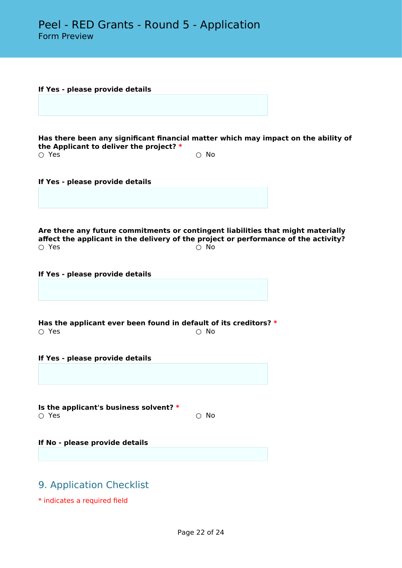| If Yes - please provide details                                                                                                                                         |            |  |
|-------------------------------------------------------------------------------------------------------------------------------------------------------------------------|------------|--|
|                                                                                                                                                                         |            |  |
|                                                                                                                                                                         |            |  |
|                                                                                                                                                                         |            |  |
| Has there been any significant financial matter which may impact on the ability of                                                                                      |            |  |
| the Applicant to deliver the project? *<br>$\circ$ Yes                                                                                                                  | $\circ$ No |  |
|                                                                                                                                                                         |            |  |
|                                                                                                                                                                         |            |  |
| If Yes - please provide details                                                                                                                                         |            |  |
|                                                                                                                                                                         |            |  |
|                                                                                                                                                                         |            |  |
|                                                                                                                                                                         |            |  |
| Are there any future commitments or contingent liabilities that might materially<br>affect the applicant in the delivery of the project or performance of the activity? |            |  |
| $\circ$ Yes                                                                                                                                                             | $\circ$ No |  |
|                                                                                                                                                                         |            |  |
| If Yes - please provide details                                                                                                                                         |            |  |
|                                                                                                                                                                         |            |  |
|                                                                                                                                                                         |            |  |
|                                                                                                                                                                         |            |  |
| Has the applicant ever been found in default of its creditors? $*$                                                                                                      |            |  |
| $\circ$ Yes                                                                                                                                                             | $\circ$ No |  |
|                                                                                                                                                                         |            |  |
| If Yes - please provide details                                                                                                                                         |            |  |
|                                                                                                                                                                         |            |  |
|                                                                                                                                                                         |            |  |
|                                                                                                                                                                         |            |  |
| Is the applicant's business solvent? *                                                                                                                                  |            |  |
| $\circ$ Yes                                                                                                                                                             | $\circ$ No |  |
|                                                                                                                                                                         |            |  |
| If No - please provide details                                                                                                                                          |            |  |
|                                                                                                                                                                         |            |  |
|                                                                                                                                                                         |            |  |
| 9. Application Checklist                                                                                                                                                |            |  |
|                                                                                                                                                                         |            |  |

\* indicates a required field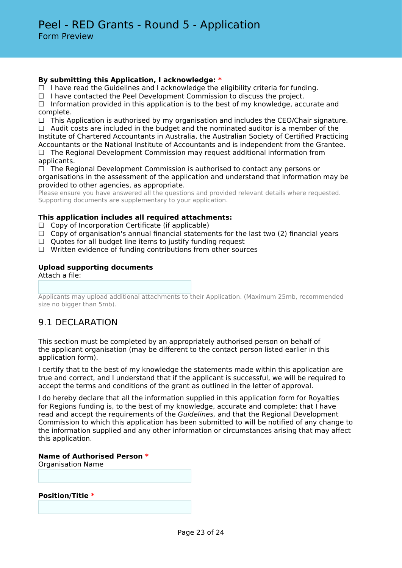## **By submitting this Application, I acknowledge: \***

 $\Box$  I have read the Guidelines and I acknowledge the eligibility criteria for funding.

 $\Box$  I have contacted the Peel Development Commission to discuss the project.

 $\Box$  Information provided in this application is to the best of my knowledge, accurate and complete.

 $\Box$  This Application is authorised by my organisation and includes the CEO/Chair signature.  $\Box$  Audit costs are included in the budget and the nominated auditor is a member of the

Institute of Chartered Accountants in Australia, the Australian Society of Certified Practicing Accountants or the National Institute of Accountants and is independent from the Grantee.  $\Box$  The Regional Development Commission may request additional information from applicants.

 $\Box$  The Regional Development Commission is authorised to contact any persons or organisations in the assessment of the application and understand that information may be provided to other agencies, as appropriate.

Please ensure you have answered all the questions and provided relevant details where requested. Supporting documents are supplementary to your application.

## **This application includes all required attachments:**

 $\Box$  Copy of Incorporation Certificate (if applicable)

- $\Box$  Copy of organisation's annual financial statements for the last two (2) financial years
- □ Quotes for all budget line items to justify funding request
- $\Box$  Written evidence of funding contributions from other sources

#### **Upload supporting documents**

Attach a file:

Applicants may upload additional attachments to their Application. (Maximum 25mb, recommended size no bigger than 5mb).

# 9.1 DECLARATION

This section must be completed by an appropriately authorised person on behalf of the applicant organisation (may be different to the contact person listed earlier in this application form).

I certify that to the best of my knowledge the statements made within this application are true and correct, and I understand that if the applicant is successful, we will be required to accept the terms and conditions of the grant as outlined in the letter of approval.

I do hereby declare that all the information supplied in this application form for Royalties for Regions funding is, to the best of my knowledge, accurate and complete; that I have read and accept the requirements of the *Guidelines,* and that the Regional Development Commission to which this application has been submitted to will be notified of any change to the information supplied and any other information or circumstances arising that may affect this application.

#### **Name of Authorised Person \***

Organisation Name

**Position/Title \***